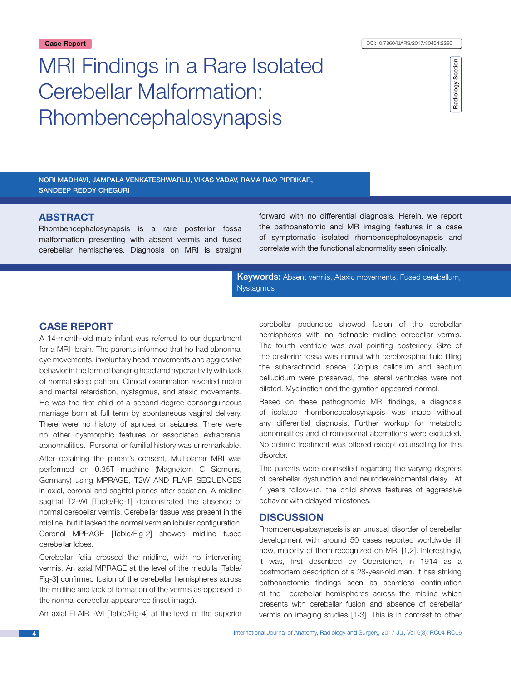# MRI Findings in a Rare Isolated Cerebellar Malformation: Rhombencephalosynapsis



Nori Madhavi, Jampala Venkateshwarlu, Vikas Yadav, Rama Rao piprikar, sandeep reddy cheguri

# **ABSTRACT**

Rhombencephalosynapsis is a rare posterior fossa malformation presenting with absent vermis and fused cerebellar hemispheres. Diagnosis on MRI is straight forward with no differential diagnosis. Herein, we report the pathoanatomic and MR imaging features in a case of symptomatic isolated rhombencephalosynapsis and correlate with the functional abnormality seen clinically.

Keywords: Absent vermis, Ataxic movements, Fused cerebellum, Nystagmus

## **Case report**

A 14-month-old male infant was referred to our department for a MRI brain. The parents informed that he had abnormal eye movements, involuntary head movements and aggressive behavior in the form of banging head and hyperactivity with lack of normal sleep pattern. Clinical examination revealed motor and mental retardation, nystagmus, and ataxic movements. He was the first child of a second-degree consanguineous marriage born at full term by spontaneous vaginal delivery. There were no history of apnoea or seizures. There were no other dysmorphic features or associated extracranial abnormalities. Personal or familial history was unremarkable.

After obtaining the parent's consent, Multiplanar MRI was performed on 0.35T machine (Magnetom C Siemens, Germany) using MPRAGE, T2W AND FLAIR SEQUENCES in axial, coronal and sagittal planes after sedation. A midline sagittal T2-WI [Table/Fig-1] demonstrated the absence of normal cerebellar vermis. Cerebellar tissue was present in the midline, but it lacked the normal vermian lobular configuration. Coronal MPRAGE [Table/Fig-2] showed midline fused cerebellar lobes.

Cerebellar folia crossed the midline, with no intervening vermis. An axial MPRAGE at the level of the medulla [Table/ Fig-3] confirmed fusion of the cerebellar hemispheres across the midline and lack of formation of the vermis as opposed to the normal cerebellar appearance (inset image).

An axial FLAIR -WI [Table/Fig-4] at the level of the superior

cerebellar peduncles showed fusion of the cerebellar hemispheres with no definable midline cerebellar vermis. The fourth ventricle was oval pointing posteriorly. Size of the posterior fossa was normal with cerebrospinal fluid filling the subarachnoid space. Corpus callosum and septum pellucidum were preserved, the lateral ventricles were not dilated. Myelination and the gyration appeared normal.

Based on these pathognomic MRI findings, a diagnosis of isolated rhombencepalosynapsis was made without any differential diagnosis. Further workup for metabolic abnormalities and chromosomal aberrations were excluded. No definite treatment was offered except counselling for this disorder.

The parents were counselled regarding the varying degrees of cerebellar dysfunction and neurodevelopmental delay. At 4 years follow-up, the child shows features of aggressive behavior with delayed milestones.

## **DISCUSSION**

Rhombencepalosynapsis is an unusual disorder of cerebellar development with around 50 cases reported worldwide till now, majority of them recognized on MRI [1,2]. Interestingly, it was, first described by Obersteiner, in 1914 as a postmortem description of a 28-year-old man. It has striking pathoanatomic findings seen as seamless continuation of the cerebellar hemispheres across the midline which presents with cerebellar fusion and absence of cerebellar vermis on imaging studies [1-3]. This is in contrast to other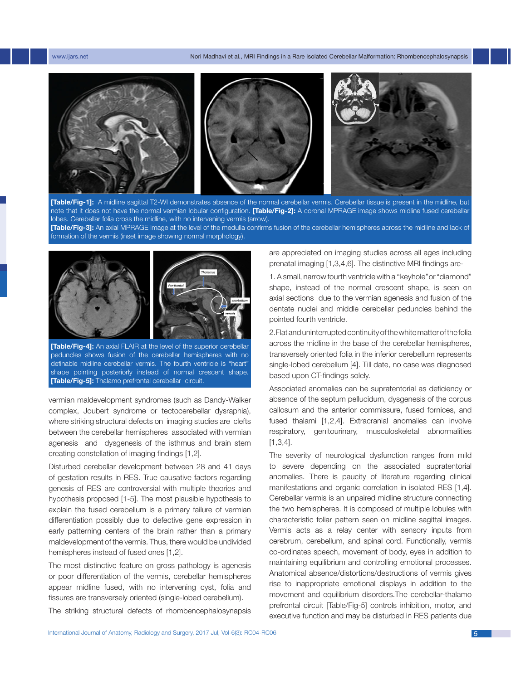

**[Table/Fig-1]:** A midline sagittal T2-WI demonstrates absence of the normal cerebellar vermis. Cerebellar tissue is present in the midline, but note that it does not have the normal vermian lobular configuration. **[Table/Fig-2]:** A coronal MPRAGE image shows midline fused cerebellar lobes. Cerebellar folia cross the midline, with no intervening vermis (arrow).

**[Table/Fig-3]:** An axial MPRAGE image at the level of the medulla confirms fusion of the cerebellar hemispheres across the midline and lack of formation of the vermis (inset image showing normal morphology).



**[Table/Fig-4]:** An axial FLAIR at the level of the superior cerebellar peduncles shows fusion of the cerebellar hemispheres with no definable midline cerebellar vermis. The fourth ventricle is "heart" shape pointing posteriorly instead of normal crescent shape. **[Table/Fig-5]:** Thalamo prefrontal cerebellar circuit.

vermian maldevelopment syndromes (such as Dandy-Walker complex, Joubert syndrome or tectocerebellar dysraphia), where striking structural defects on imaging studies are clefts between the cerebellar hemispheres associated with vermian agenesis and dysgenesis of the isthmus and brain stem creating constellation of imaging findings [1,2].

Disturbed cerebellar development between 28 and 41 days of gestation results in RES. True causative factors regarding genesis of RES are controversial with multiple theories and hypothesis proposed [1-5]. The most plausible hypothesis to explain the fused cerebellum is a primary failure of vermian differentiation possibly due to defective gene expression in early patterning centers of the brain rather than a primary maldevelopment of the vermis. Thus, there would be undivided hemispheres instead of fused ones [1,2].

The most distinctive feature on gross pathology is agenesis or poor differentiation of the vermis, cerebellar hemispheres appear midline fused, with no intervening cyst, folia and fissures are transversely oriented (single-lobed cerebellum).

The striking structural defects of rhombencephalosynapsis

are appreciated on imaging studies across all ages including prenatal imaging [1,3,4,6]. The distinctive MRI findings are-

1. A small, narrow fourth ventricle with a ''keyhole''or "diamond" shape, instead of the normal crescent shape, is seen on axial sections due to the vermian agenesis and fusion of the dentate nuclei and middle cerebellar peduncles behind the pointed fourth ventricle.

2.Flat and uninterrupted continuity of the white matter of the folia across the midline in the base of the cerebellar hemispheres, transversely oriented folia in the inferior cerebellum represents single-lobed cerebellum [4]. Till date, no case was diagnosed based upon CT-findings solely.

Associated anomalies can be supratentorial as deficiency or absence of the septum pellucidum, dysgenesis of the corpus callosum and the anterior commissure, fused fornices, and fused thalami [1,2,4]. Extracranial anomalies can involve respiratory, genitourinary, musculoskeletal abnormalities [1,3,4].

The severity of neurological dysfunction ranges from mild to severe depending on the associated supratentorial anomalies. There is paucity of literature regarding clinical manifestations and organic correlation in isolated RES [1,4]. Cerebellar vermis is an unpaired midline structure connecting the two hemispheres. It is composed of multiple lobules with characteristic foliar pattern seen on midline sagittal images. Vermis acts as a relay center with sensory inputs from cerebrum, cerebellum, and spinal cord. Functionally, vermis co-ordinates speech, movement of body, eyes in addition to maintaining equilibrium and controlling emotional processes. Anatomical absence/distortions/destructions of vermis gives rise to inappropriate emotional displays in addition to the movement and equilibrium disorders.The cerebellar-thalamo prefrontal circuit [Table/Fig-5] controls inhibition, motor, and executive function and may be disturbed in RES patients due